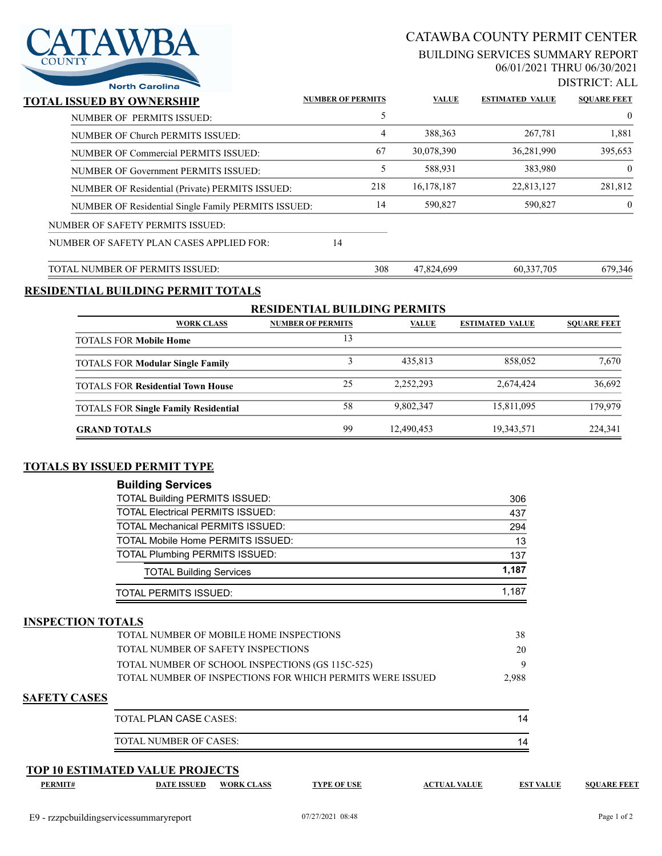

# CATAWBA COUNTY PERMIT CENTER

### BUILDING SERVICES SUMMARY REPORT 06/01/2021 THRU 06/30/2021

DISTRICT: ALL

| North Carolina                                      |                          |              |                        |                    |
|-----------------------------------------------------|--------------------------|--------------|------------------------|--------------------|
| TOTAL ISSUED BY OWNERSHIP                           | <b>NUMBER OF PERMITS</b> | <b>VALUE</b> | <b>ESTIMATED VALUE</b> | <b>SOUARE FEET</b> |
| NUMBER OF PERMITS ISSUED:                           | 5                        |              |                        | $\mathbf{0}$       |
| NUMBER OF Church PERMITS ISSUED:                    | 4                        | 388, 363     | 267,781                | 1,881              |
| NUMBER OF Commercial PERMITS ISSUED:                | 67                       | 30,078,390   | 36,281,990             | 395,653            |
| NUMBER OF Government PERMITS ISSUED:                | 5                        | 588,931      | 383,980                | $\theta$           |
| NUMBER OF Residential (Private) PERMITS ISSUED:     | 218                      | 16,178,187   | 22,813,127             | 281,812            |
| NUMBER OF Residential Single Family PERMITS ISSUED: | 14                       | 590,827      | 590,827                | $\mathbf{0}$       |
| NUMBER OF SAFETY PERMITS ISSUED:                    |                          |              |                        |                    |
| NUMBER OF SAFETY PLAN CASES APPLIED FOR:            | 14                       |              |                        |                    |
| TOTAL NUMBER OF PERMITS ISSUED:                     | 308                      | 47,824,699   | 60,337,705             | 679,346            |
|                                                     |                          |              |                        |                    |

## **RESIDENTIAL BUILDING PERMIT TOTALS**

| <b>RESIDENTIAL BUILDING PERMITS</b>         |                          |              |                        |                    |  |
|---------------------------------------------|--------------------------|--------------|------------------------|--------------------|--|
| <b>WORK CLASS</b>                           | <b>NUMBER OF PERMITS</b> | <b>VALUE</b> | <b>ESTIMATED VALUE</b> | <b>SOUARE FEET</b> |  |
| <b>TOTALS FOR Mobile Home</b>               | 13                       |              |                        |                    |  |
| <b>TOTALS FOR Modular Single Family</b>     |                          | 435.813      | 858,052                | 7.670              |  |
| <b>TOTALS FOR Residential Town House</b>    | 25                       | 2.252.293    | 2,674,424              | 36,692             |  |
| <b>TOTALS FOR Single Family Residential</b> | 58                       | 9,802,347    | 15,811,095             | 179,979            |  |
| <b>GRAND TOTALS</b>                         | 99                       | 12,490,453   | 19,343,571             | 224,341            |  |

## **TOTALS BY ISSUED PERMIT TYPE**

| <b>Building Services</b>                |       |
|-----------------------------------------|-------|
| <b>TOTAL Building PERMITS ISSUED:</b>   | 306   |
| <b>TOTAL Electrical PERMITS ISSUED:</b> | 437   |
| <b>TOTAL Mechanical PERMITS ISSUED:</b> | 294   |
| TOTAL Mobile Home PERMITS ISSUED:       | 13    |
| <b>TOTAL Plumbing PERMITS ISSUED:</b>   | 137   |
| <b>TOTAL Building Services</b>          | 1,187 |
| TOTAL PERMITS ISSUED:                   | 1.187 |

#### **INSPECTION TOTALS**

| TOTAL NUMBER OF MOBILE HOME INSPECTIONS                    | 38    |
|------------------------------------------------------------|-------|
| TOTAL NUMBER OF SAFETY INSPECTIONS                         | 20    |
| TOTAL NUMBER OF SCHOOL INSPECTIONS (GS 115C-525)           |       |
| TOTAL NUMBER OF INSPECTIONS FOR WHICH PERMITS WERE ISSUED. | 2.988 |
|                                                            |       |

## **SAFETY CASES**

| TOTAL PLAN CASE CASES: |  |
|------------------------|--|
| TOTAL NUMBER OF CASES: |  |

### **TOP 10 ESTIMATED VALUE PROJECTS**

**PERMIT# DATE ISSUED WORK CLASS TYPE OF USE ACTUAL VALUE EST VALUE SQUARE FEET**